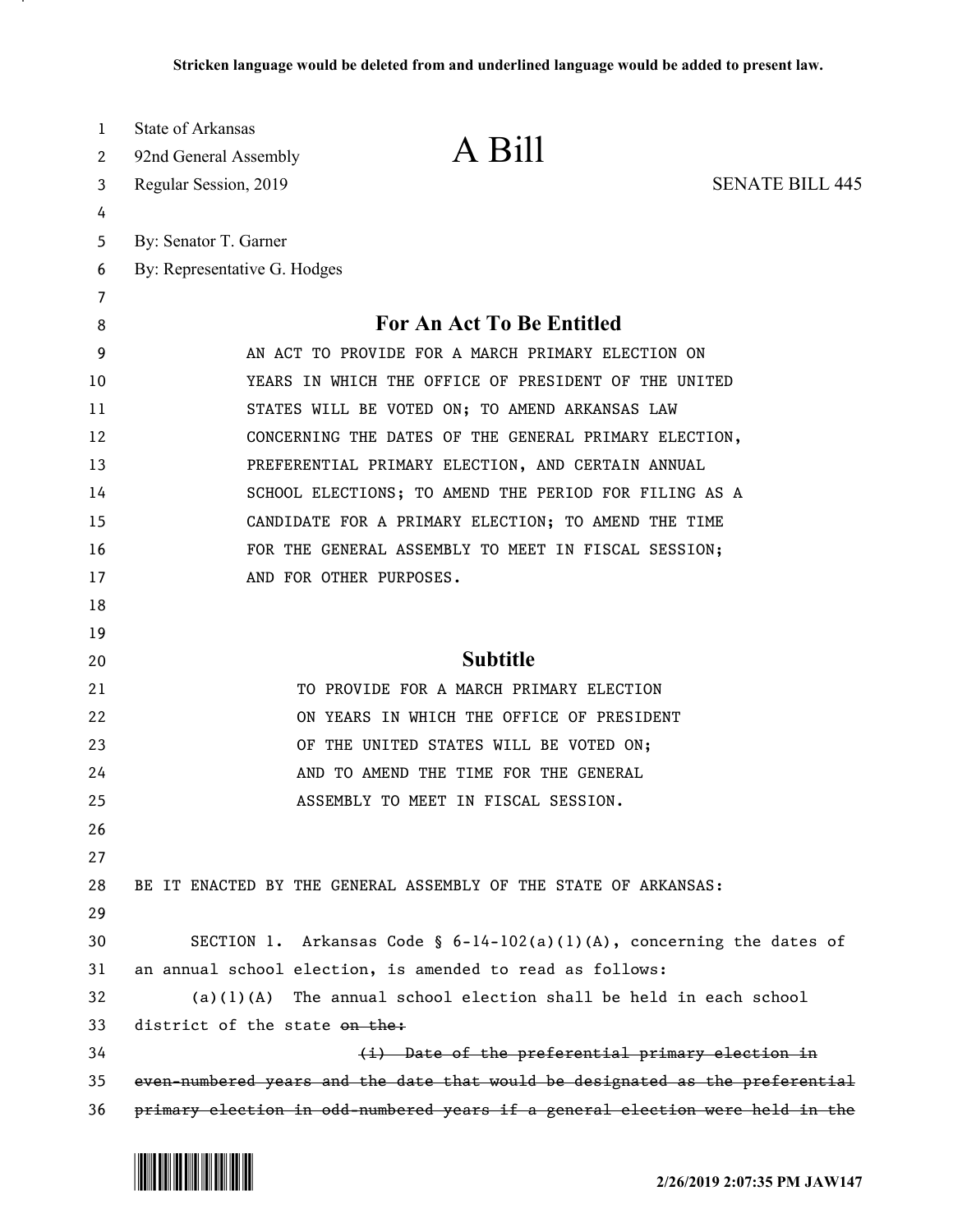| 1  | State of Arkansas                                                             |  |
|----|-------------------------------------------------------------------------------|--|
| 2  | A Bill<br>92nd General Assembly                                               |  |
| 3  | <b>SENATE BILL 445</b><br>Regular Session, 2019                               |  |
| 4  |                                                                               |  |
| 5  | By: Senator T. Garner                                                         |  |
| 6  | By: Representative G. Hodges                                                  |  |
| 7  |                                                                               |  |
| 8  | For An Act To Be Entitled                                                     |  |
| 9  | AN ACT TO PROVIDE FOR A MARCH PRIMARY ELECTION ON                             |  |
| 10 | YEARS IN WHICH THE OFFICE OF PRESIDENT OF THE UNITED                          |  |
| 11 | STATES WILL BE VOTED ON; TO AMEND ARKANSAS LAW                                |  |
| 12 | CONCERNING THE DATES OF THE GENERAL PRIMARY ELECTION,                         |  |
| 13 | PREFERENTIAL PRIMARY ELECTION, AND CERTAIN ANNUAL                             |  |
| 14 | SCHOOL ELECTIONS; TO AMEND THE PERIOD FOR FILING AS A                         |  |
| 15 | CANDIDATE FOR A PRIMARY ELECTION; TO AMEND THE TIME                           |  |
| 16 | FOR THE GENERAL ASSEMBLY TO MEET IN FISCAL SESSION;                           |  |
| 17 | AND FOR OTHER PURPOSES.                                                       |  |
| 18 |                                                                               |  |
| 19 |                                                                               |  |
| 20 | <b>Subtitle</b>                                                               |  |
| 21 | TO PROVIDE FOR A MARCH PRIMARY ELECTION                                       |  |
| 22 | ON YEARS IN WHICH THE OFFICE OF PRESIDENT                                     |  |
| 23 | OF THE UNITED STATES WILL BE VOTED ON;                                        |  |
| 24 | AND TO AMEND THE TIME FOR THE GENERAL                                         |  |
| 25 | ASSEMBLY TO MEET IN FISCAL SESSION.                                           |  |
| 26 |                                                                               |  |
| 27 |                                                                               |  |
| 28 | BE IT ENACTED BY THE GENERAL ASSEMBLY OF THE STATE OF ARKANSAS:               |  |
| 29 |                                                                               |  |
| 30 | SECTION 1. Arkansas Code § $6-14-102(a)(1)(A)$ , concerning the dates of      |  |
| 31 | an annual school election, is amended to read as follows:                     |  |
| 32 | The annual school election shall be held in each school<br>(a)(1)(A)          |  |
| 33 | district of the state on the:                                                 |  |
| 34 | (i) Date of the preferential primary election in                              |  |
| 35 | even-numbered years and the date that would be designated as the preferential |  |
| 36 | primary election in odd-numbered years if a general election were held in the |  |

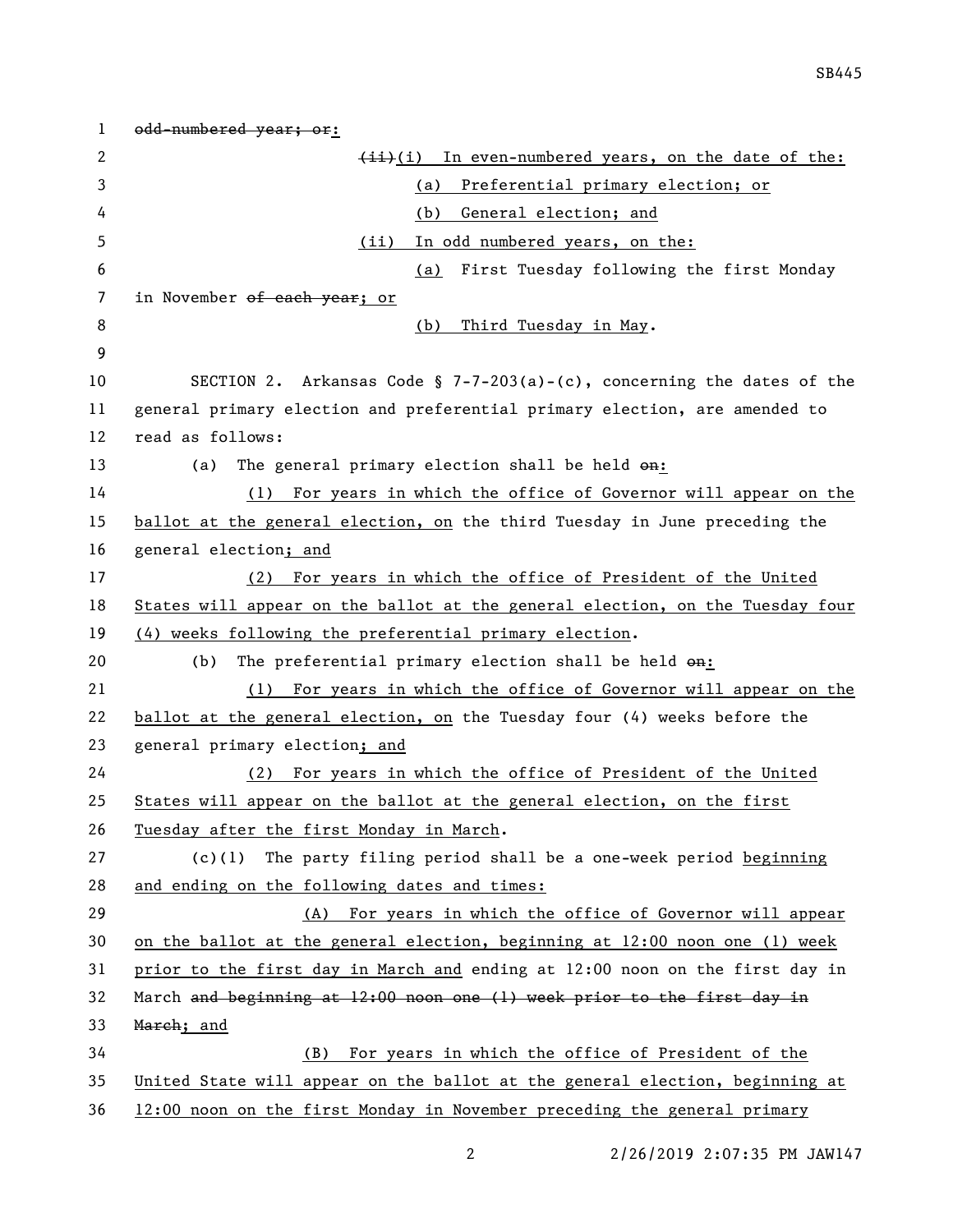1 odd-numbered year; or:  $\overline{4i}(i)$  In even-numbered years, on the date of the: (a) Preferential primary election; or (b) General election; and (ii) In odd numbered years, on the: (a) First Tuesday following the first Monday 7 in November <del>of each year</del>; or 8 (b) Third Tuesday in May. SECTION 2. Arkansas Code § 7-7-203(a)-(c), concerning the dates of the general primary election and preferential primary election, are amended to read as follows: 13 (a) The general primary election shall be held  $\Theta$ n: (1) For years in which the office of Governor will appear on the ballot at the general election, on the third Tuesday in June preceding the general election; and (2) For years in which the office of President of the United States will appear on the ballot at the general election, on the Tuesday four (4) weeks following the preferential primary election. 20 (b) The preferential primary election shall be held  $\Theta$ **n:**  (1) For years in which the office of Governor will appear on the ballot at the general election, on the Tuesday four (4) weeks before the general primary election; and (2) For years in which the office of President of the United States will appear on the ballot at the general election, on the first Tuesday after the first Monday in March. (c)(1) The party filing period shall be a one-week period beginning and ending on the following dates and times: (A) For years in which the office of Governor will appear on the ballot at the general election, beginning at 12:00 noon one (1) week prior to the first day in March and ending at 12:00 noon on the first day in March and beginning at 12:00 noon one (1) week prior to the first day in 33 March; and (B) For years in which the office of President of the United State will appear on the ballot at the general election, beginning at 12:00 noon on the first Monday in November preceding the general primary

2/26/2019 2:07:35 PM JAW147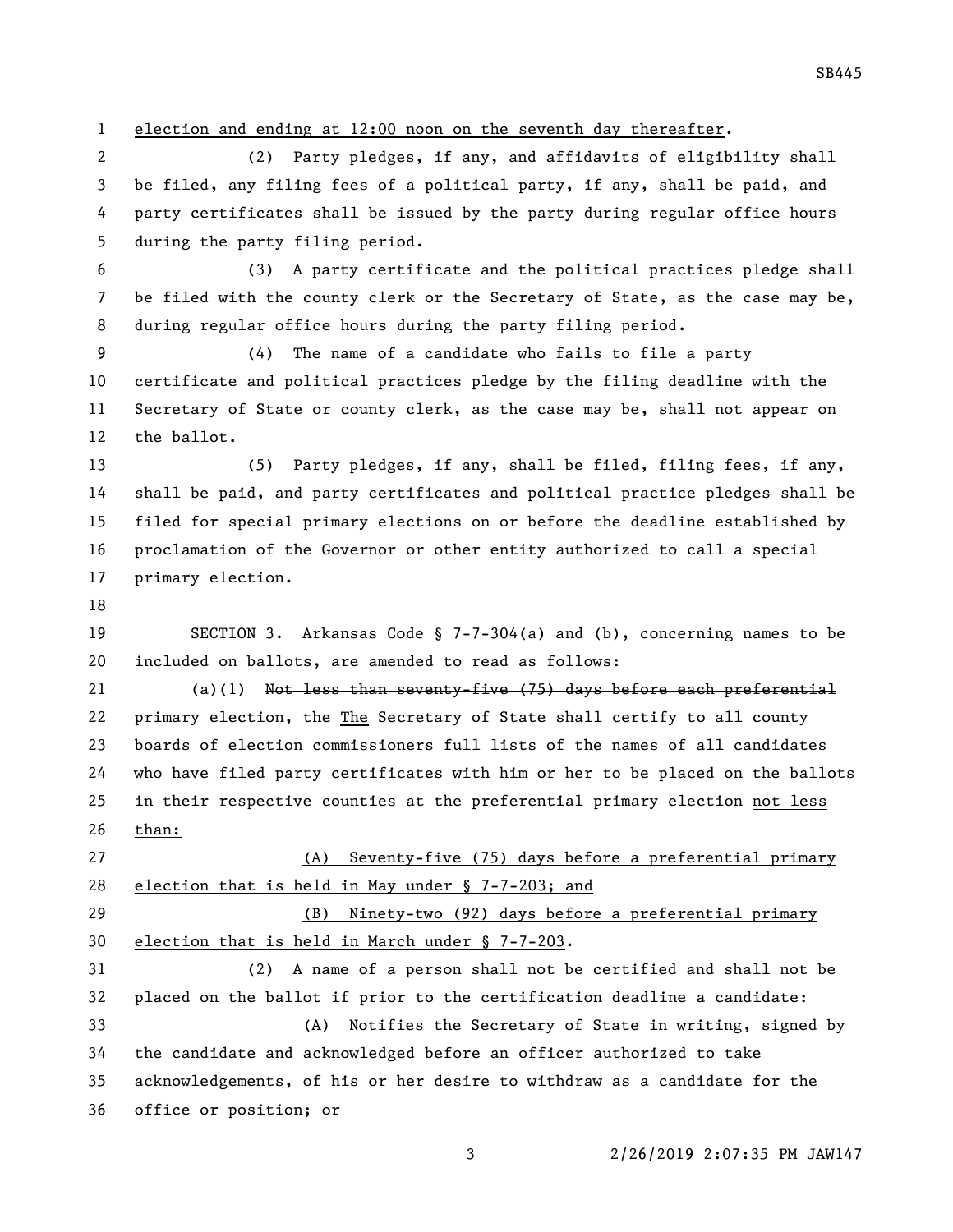election and ending at 12:00 noon on the seventh day thereafter.

 (2) Party pledges, if any, and affidavits of eligibility shall be filed, any filing fees of a political party, if any, shall be paid, and party certificates shall be issued by the party during regular office hours during the party filing period.

 (3) A party certificate and the political practices pledge shall be filed with the county clerk or the Secretary of State, as the case may be, during regular office hours during the party filing period.

 (4) The name of a candidate who fails to file a party certificate and political practices pledge by the filing deadline with the Secretary of State or county clerk, as the case may be, shall not appear on the ballot.

 (5) Party pledges, if any, shall be filed, filing fees, if any, shall be paid, and party certificates and political practice pledges shall be filed for special primary elections on or before the deadline established by proclamation of the Governor or other entity authorized to call a special primary election.

 SECTION 3. Arkansas Code § 7-7-304(a) and (b), concerning names to be included on ballots, are amended to read as follows:

21 (a)(1) Not less than seventy-five (75) days before each preferential 22 primary election, the The Secretary of State shall certify to all county boards of election commissioners full lists of the names of all candidates who have filed party certificates with him or her to be placed on the ballots in their respective counties at the preferential primary election not less than:

 (A) Seventy-five (75) days before a preferential primary election that is held in May under § 7-7-203; and (B) Ninety-two (92) days before a preferential primary election that is held in March under § 7-7-203. (2) A name of a person shall not be certified and shall not be placed on the ballot if prior to the certification deadline a candidate: (A) Notifies the Secretary of State in writing, signed by the candidate and acknowledged before an officer authorized to take acknowledgements, of his or her desire to withdraw as a candidate for the

office or position; or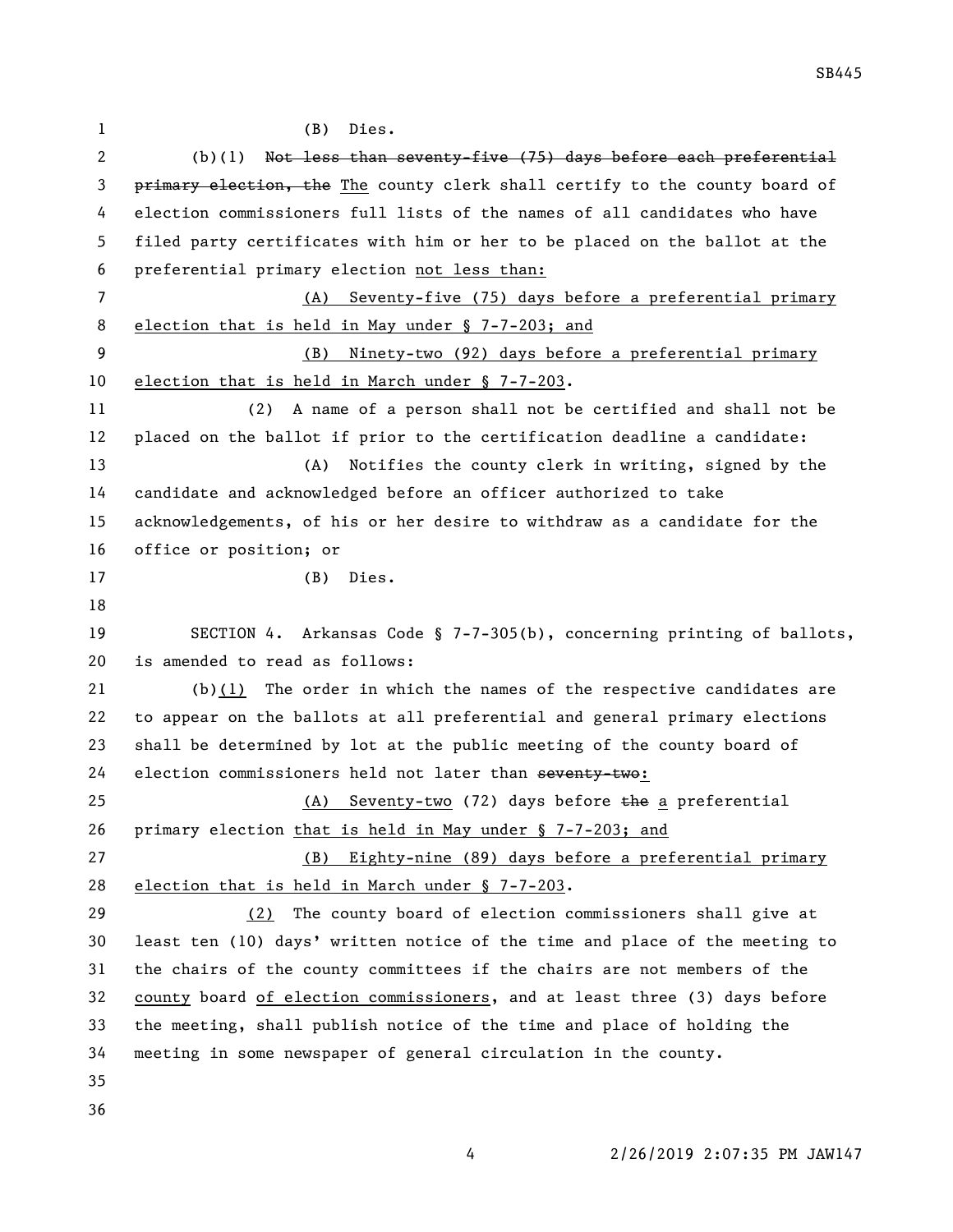| 1            | (B)<br>Dies.                                                                |
|--------------|-----------------------------------------------------------------------------|
| $\mathbf{2}$ | Not less than seventy-five (75) days before each preferential<br>(b)(1)     |
| 3            | primary election, the The county clerk shall certify to the county board of |
| 4            | election commissioners full lists of the names of all candidates who have   |
| 5            | filed party certificates with him or her to be placed on the ballot at the  |
| 6            | preferential primary election not less than:                                |
| 7            | (A) Seventy-five (75) days before a preferential primary                    |
| 8            | election that is held in May under § 7-7-203; and                           |
| 9            | (B) Ninety-two (92) days before a preferential primary                      |
| 10           | election that is held in March under § 7-7-203.                             |
| 11           | A name of a person shall not be certified and shall not be<br>(2)           |
| 12           | placed on the ballot if prior to the certification deadline a candidate:    |
| 13           | Notifies the county clerk in writing, signed by the<br>(A)                  |
| 14           | candidate and acknowledged before an officer authorized to take             |
| 15           | acknowledgements, of his or her desire to withdraw as a candidate for the   |
| 16           | office or position; or                                                      |
| 17           | Dies.<br>(B)                                                                |
| 18           |                                                                             |
| 19           | SECTION 4. Arkansas Code § 7-7-305(b), concerning printing of ballots,      |
| 20           | is amended to read as follows:                                              |
| 21           | (b) $(1)$ The order in which the names of the respective candidates are     |
| 22           | to appear on the ballots at all preferential and general primary elections  |
| 23           | shall be determined by lot at the public meeting of the county board of     |
| 24           |                                                                             |
| 25           | election commissioners held not later than seventy-two:                     |
|              | (A) Seventy-two (72) days before the a preferential                         |
| 26           | primary election that is held in May under § 7-7-203; and                   |
| 27           | Eighty-nine (89) days before a preferential primary<br>(B)                  |
| 28           | election that is held in March under § 7-7-203.                             |
| 29           | The county board of election commissioners shall give at<br>(2)             |
| 30           | least ten (10) days' written notice of the time and place of the meeting to |
| 31           | the chairs of the county committees if the chairs are not members of the    |
| 32           | county board of election commissioners, and at least three (3) days before  |
| 33           | the meeting, shall publish notice of the time and place of holding the      |
| 34           | meeting in some newspaper of general circulation in the county.             |
| 35           |                                                                             |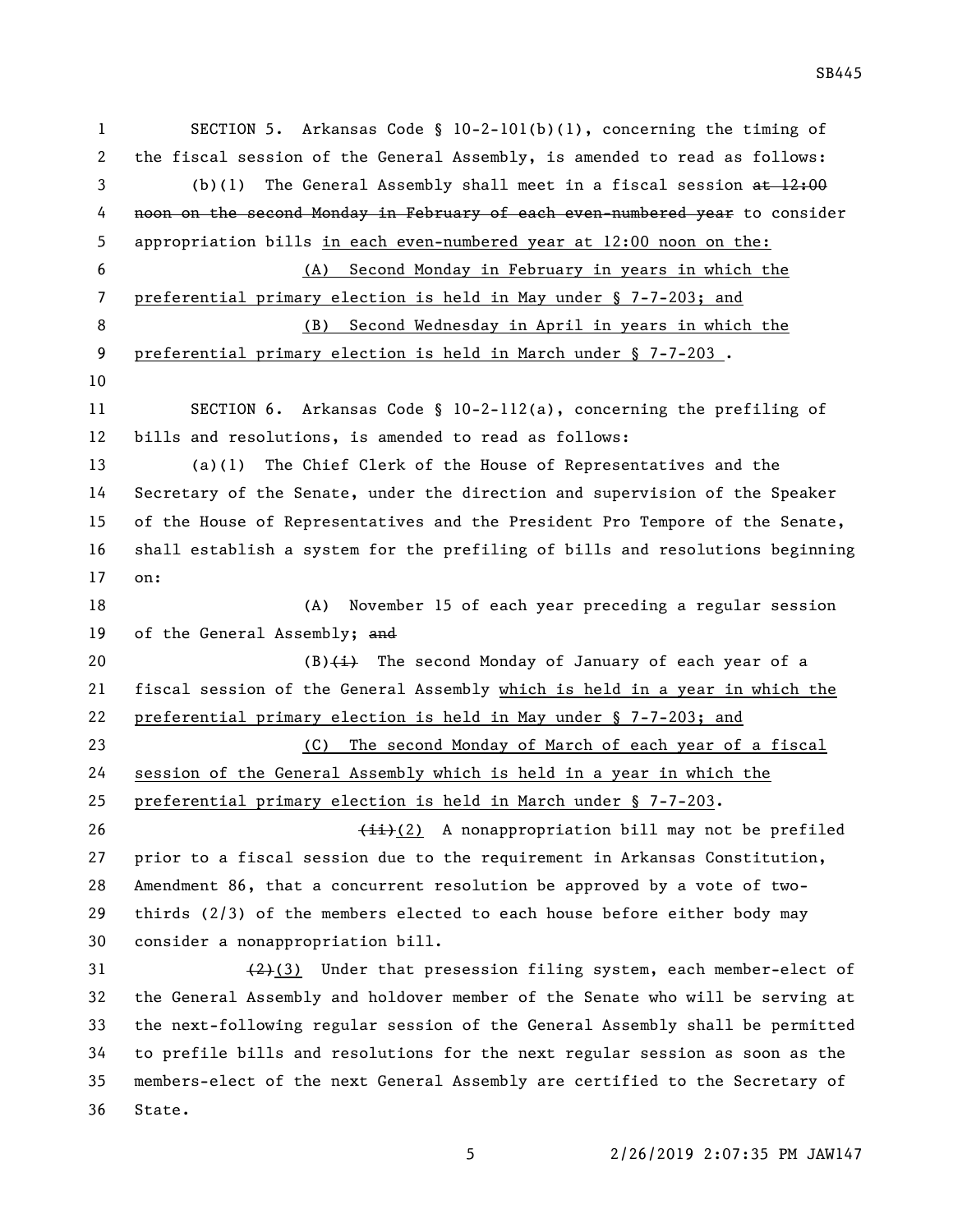SECTION 5. Arkansas Code § 10-2-101(b)(1), concerning the timing of the fiscal session of the General Assembly, is amended to read as follows: 3 (b)(1) The General Assembly shall meet in a fiscal session at 12:00 4 noon on the second Monday in February of each even-numbered year to consider appropriation bills in each even-numbered year at 12:00 noon on the: (A) Second Monday in February in years in which the preferential primary election is held in May under § 7-7-203; and (B) Second Wednesday in April in years in which the 9 preferential primary election is held in March under § 7-7-203. SECTION 6. Arkansas Code § 10-2-112(a), concerning the prefiling of bills and resolutions, is amended to read as follows: (a)(1) The Chief Clerk of the House of Representatives and the Secretary of the Senate, under the direction and supervision of the Speaker of the House of Representatives and the President Pro Tempore of the Senate, shall establish a system for the prefiling of bills and resolutions beginning on: (A) November 15 of each year preceding a regular session 19 of the General Assembly; and  $(B)$  (B) $\leftrightarrow$  The second Monday of January of each year of a fiscal session of the General Assembly which is held in a year in which the preferential primary election is held in May under § 7-7-203; and (C) The second Monday of March of each year of a fiscal session of the General Assembly which is held in a year in which the preferential primary election is held in March under § 7-7-203.  $\leftarrow$   $\leftarrow$   $\leftarrow$   $\leftarrow$   $\leftarrow$   $\leftarrow$   $\leftarrow$   $\leftarrow$   $\leftarrow$   $\leftarrow$   $\leftarrow$   $\leftarrow$   $\leftarrow$   $\leftarrow$   $\leftarrow$   $\leftarrow$   $\leftarrow$   $\leftarrow$   $\leftarrow$   $\leftarrow$   $\leftarrow$   $\leftarrow$   $\leftarrow$   $\leftarrow$   $\leftarrow$   $\leftarrow$   $\leftarrow$   $\leftarrow$   $\leftarrow$   $\leftarrow$   $\leftarrow$   $\leftarrow$   $\leftarrow$   $\leftarrow$   $\leftarrow$   $\leftarrow$   $\$  prior to a fiscal session due to the requirement in Arkansas Constitution, Amendment 86, that a concurrent resolution be approved by a vote of two- thirds (2/3) of the members elected to each house before either body may consider a nonappropriation bill.  $(2)(3)$  Under that presession filing system, each member-elect of the General Assembly and holdover member of the Senate who will be serving at the next-following regular session of the General Assembly shall be permitted to prefile bills and resolutions for the next regular session as soon as the members-elect of the next General Assembly are certified to the Secretary of State.

SB445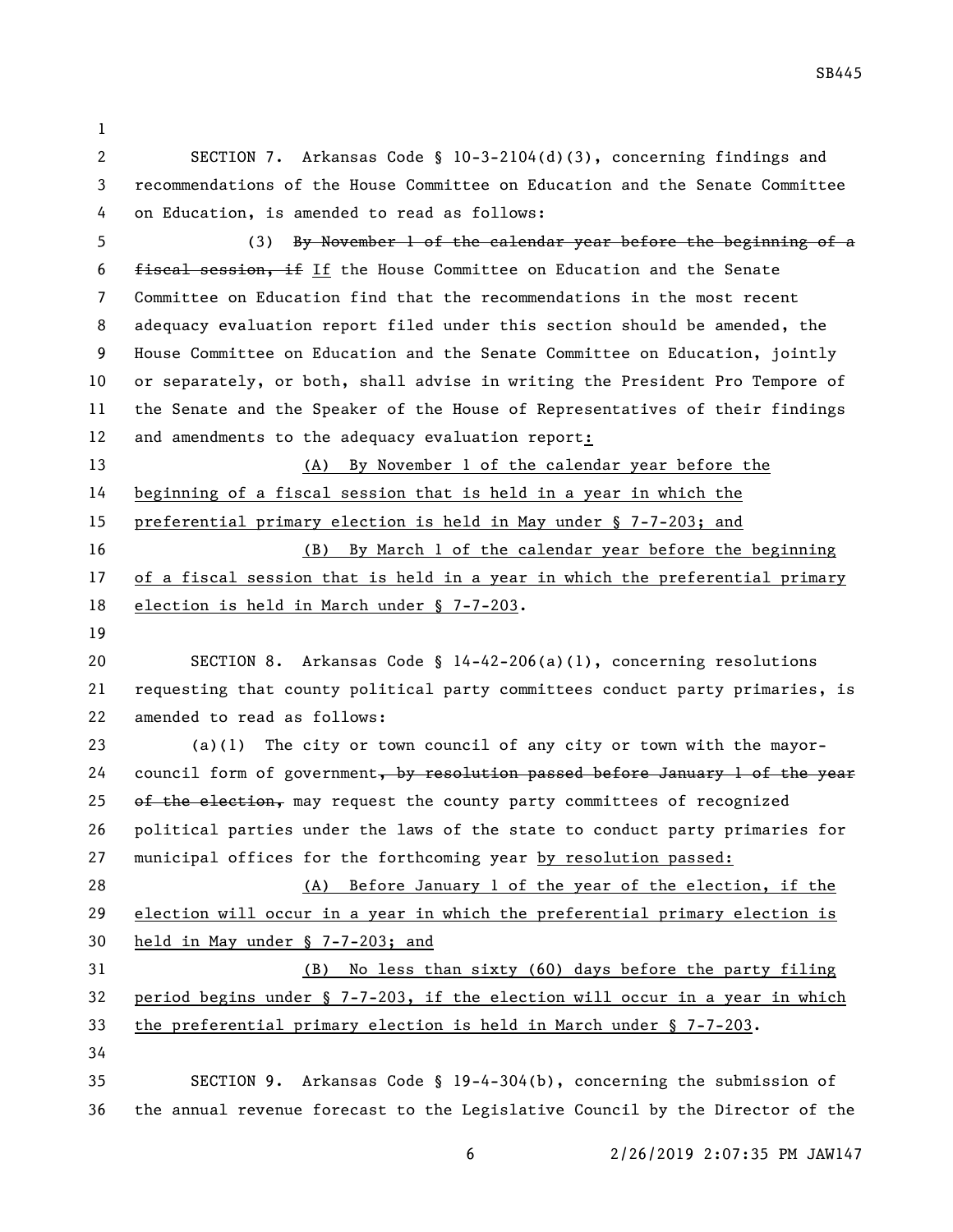- 
- 

 SECTION 7. Arkansas Code § 10-3-2104(d)(3), concerning findings and recommendations of the House Committee on Education and the Senate Committee on Education, is amended to read as follows:

 (3) By November 1 of the calendar year before the beginning of a 6 fiscal session, if If the House Committee on Education and the Senate Committee on Education find that the recommendations in the most recent adequacy evaluation report filed under this section should be amended, the House Committee on Education and the Senate Committee on Education, jointly or separately, or both, shall advise in writing the President Pro Tempore of the Senate and the Speaker of the House of Representatives of their findings and amendments to the adequacy evaluation report:

 (A) By November 1 of the calendar year before the beginning of a fiscal session that is held in a year in which the preferential primary election is held in May under § 7-7-203; and (B) By March 1 of the calendar year before the beginning 17 of a fiscal session that is held in a year in which the preferential primary election is held in March under § 7-7-203.

 SECTION 8. Arkansas Code § 14-42-206(a)(1), concerning resolutions requesting that county political party committees conduct party primaries, is amended to read as follows:

 (a)(1) The city or town council of any city or town with the mayor-24 council form of government, by resolution passed before January 1 of the year  $\theta$  of the election, may request the county party committees of recognized political parties under the laws of the state to conduct party primaries for municipal offices for the forthcoming year by resolution passed:

 (A) Before January 1 of the year of the election, if the election will occur in a year in which the preferential primary election is held in May under § 7-7-203; and

 (B) No less than sixty (60) days before the party filing period begins under § 7-7-203, if the election will occur in a year in which the preferential primary election is held in March under § 7-7-203. 

 SECTION 9. Arkansas Code § 19-4-304(b), concerning the submission of the annual revenue forecast to the Legislative Council by the Director of the